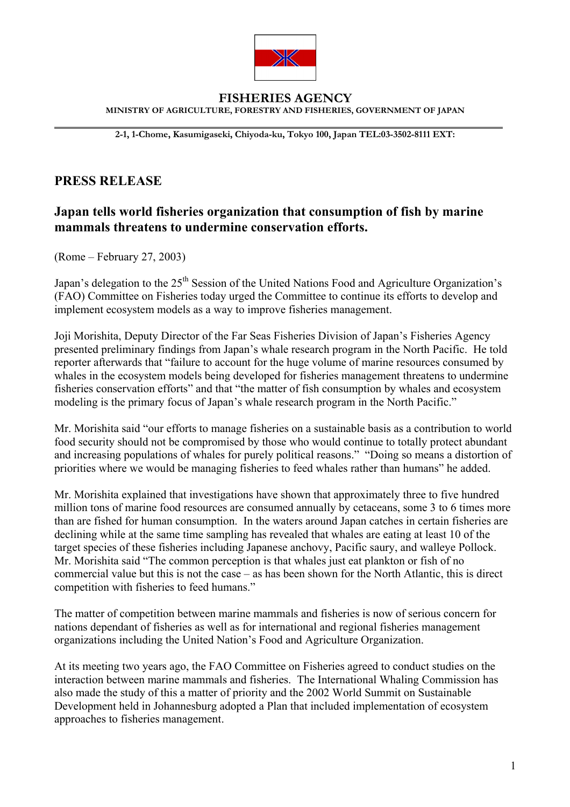

## **FISHERIES AGENCY MINISTRY OF AGRICULTURE, FORESTRY AND FISHERIES, GOVERNMENT OF JAPAN**

**2-1, 1-Chome, Kasumigaseki, Chiyoda-ku, Tokyo 100, Japan TEL:03-3502-8111 EXT:** 

## **PRESS RELEASE**

 $\overline{a}$ 

## **Japan tells world fisheries organization that consumption of fish by marine mammals threatens to undermine conservation efforts.**

(Rome – February 27, 2003)

Japan's delegation to the 25<sup>th</sup> Session of the United Nations Food and Agriculture Organization's (FAO) Committee on Fisheries today urged the Committee to continue its efforts to develop and implement ecosystem models as a way to improve fisheries management.

Joji Morishita, Deputy Director of the Far Seas Fisheries Division of Japan's Fisheries Agency presented preliminary findings from Japan's whale research program in the North Pacific. He told reporter afterwards that "failure to account for the huge volume of marine resources consumed by whales in the ecosystem models being developed for fisheries management threatens to undermine fisheries conservation efforts" and that "the matter of fish consumption by whales and ecosystem modeling is the primary focus of Japan's whale research program in the North Pacific."

Mr. Morishita said "our efforts to manage fisheries on a sustainable basis as a contribution to world food security should not be compromised by those who would continue to totally protect abundant and increasing populations of whales for purely political reasons." "Doing so means a distortion of priorities where we would be managing fisheries to feed whales rather than humans" he added.

Mr. Morishita explained that investigations have shown that approximately three to five hundred million tons of marine food resources are consumed annually by cetaceans, some 3 to 6 times more than are fished for human consumption. In the waters around Japan catches in certain fisheries are declining while at the same time sampling has revealed that whales are eating at least 10 of the target species of these fisheries including Japanese anchovy, Pacific saury, and walleye Pollock. Mr. Morishita said "The common perception is that whales just eat plankton or fish of no commercial value but this is not the case – as has been shown for the North Atlantic, this is direct competition with fisheries to feed humans."

The matter of competition between marine mammals and fisheries is now of serious concern for nations dependant of fisheries as well as for international and regional fisheries management organizations including the United Nation's Food and Agriculture Organization.

At its meeting two years ago, the FAO Committee on Fisheries agreed to conduct studies on the interaction between marine mammals and fisheries. The International Whaling Commission has also made the study of this a matter of priority and the 2002 World Summit on Sustainable Development held in Johannesburg adopted a Plan that included implementation of ecosystem approaches to fisheries management.